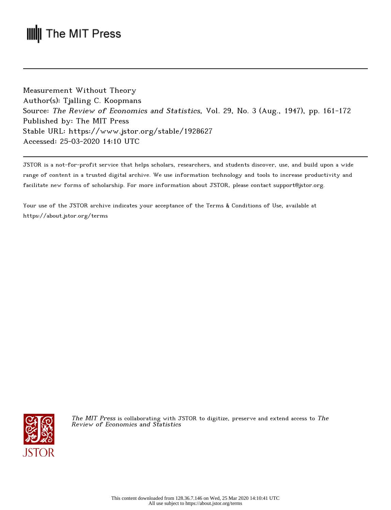# **III** The MIT Press

Measurement Without Theory Author(s): Tjalling C. Koopmans Source: The Review of Economics and Statistics, Vol. 29, No. 3 (Aug., 1947), pp. 161-172 Published by: The MIT Press Stable URL: https://www.jstor.org/stable/1928627 Accessed: 25-03-2020 14:10 UTC

JSTOR is a not-for-profit service that helps scholars, researchers, and students discover, use, and build upon a wide range of content in a trusted digital archive. We use information technology and tools to increase productivity and facilitate new forms of scholarship. For more information about JSTOR, please contact support@jstor.org.

Your use of the JSTOR archive indicates your acceptance of the Terms & Conditions of Use, available at https://about.jstor.org/terms



The MIT Press is collaborating with JSTOR to digitize, preserve and extend access to The Review of Economics and Statistics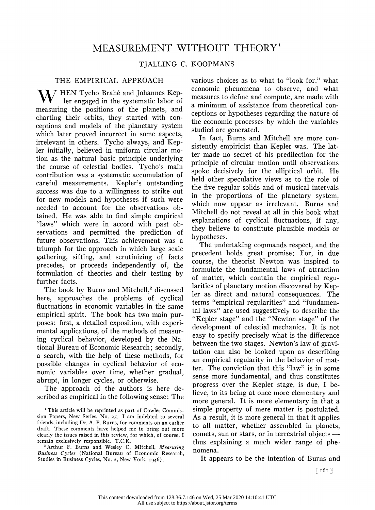## TJALLING C. KOOPMANS

## THE EMPIRICAL APPROACH

**X** / HEN Tycho Brahé and Johannes Kep ler engaged in the systematic labor of measuring the positions of the planets, and charting their orbits, they started with con ceptions and models of the planetary system which later proved incorrect in some aspects, irrelevant in others. Tycho always, and Kep ler initially, believed in uniform circular mo tion as the natural basic principle underlying the course of celestial bodies. Tycho's main contribution was a systematic accumulation of careful measurements. Kepler's outstanding success was due to a willingness to strike out for new models and hypotheses if such were needed to account for the observations ob tained. He was able to find simple empirical "laws" which were in accord with past ob servations and permitted the prediction of future observations. This achievement was a triumph for the approach in which large scale gathering, sifting, and scrutinizing of facts precedes, or proceeds independently of, the formulation of theories and their testing by further facts.

The book by Burns and Mitchell,<sup>2</sup> discussed here, approaches the problems of cyclical fluctuations in economic variables in the same empirical spirit. The book has two main pur poses: first, a detailed exposition, with experi mental applications, of the methods of measur ing cyclical behavior, developed by the Na tional Bureau of Economic Research; secondly, a search, with the help of these methods, for possible changes in cyclical behavior of eco nomic variables over time, whether gradual, abrupt, in longer cycles, or otherwise.

 The approach of the authors is here de scribed as empirical in the following sense: The  various choices as to what to "look for," what economic phenomena to observe, and what measures to define and compute, are made with a minimum of assistance from theoretical con ceptions or hypotheses regarding the nature of the economic processes by which the variables studied are generated.

 In fact, Burns and Mitchell are more con sistently empiricist than Kepler was. The lat ter made no secret of his predilection for the principle of circular motion until observations spoke decisively for the elliptical orbit. He held other speculative views as to the role of the five regular solids and of musical intervals in the proportions of the planetary system, which now appear as irrelevant. Burns and Mitchell do not reveal at all in this book what explanations of cyclical fluctuations, if any, they believe to constitute plausible models or hypotheses.

 The undertaking commands respect, and the precedent holds great promise: For, in due course, the theorist Newton was inspired to formulate the fundamental laws of attraction of matter, which contain the empirical regu larities of planetary motion discovered by Kep ler as direct and natural consequences. The terms "empirical regularities" and "fundamen tal laws" are used suggestively to describe the "Kepler stage" and the "Newton stage" of the development of celestial mechanics. It is not easy to specify precisely what is the difference between the two stages. Newton's law of gravi tation can also be looked upon as describing an empirical regularity in the behavior of mat ter. The conviction that this "law" is in some sense more fundamental, and thus constitutes progress over the Kepler stage, is due, I be lieve, to its being at once more elementary and more general. It is more elementary in that a simple property of mere matter is postulated. As a result, it is more general in that it applies to all matter, whether assembled in planets, comets, sun or stars, or in terrestrial objects thus explaining a much wider range of phe nomena.

It appears to be the intention of Burns and

 <sup>&#</sup>x27;This article will be reprinted as part of Cowles Commis sion Papers, New Series, No. 25. I am indebted to several friends, including Dr. A. F. Burns, for comments on an earlier draft. These comments have helped me to bring out more clearly the issues raised in this review, for which, of course, I remain exclusively responsible. T.C.K.

<sup>&</sup>lt;sup>2</sup> Arthur F. Burns and Wesley C. Mitchell, Measuring Business Cycles (National Bureau of Economic Research, Studies in Business Cycles, No. 2, New York, I946).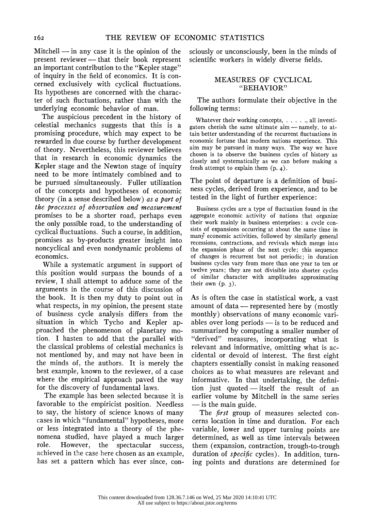Mitchell  $-$  in any case it is the opinion of the present reviewer — that their book represent an important contribution to the "Kepler stage" of inquiry in the field of economics. It is con cerned exclusively with cyclical fluctuations. Its hypotheses are concerned with the charac ter of such fluctuations, rather than with the underlying economic behavior of man.

 The auspicious precedent in the history of celestial mechanics suggests that this is a promising procedure, which may expect to be rewarded in due course by further development of theory. Nevertheless, this reviewer believes that in research in economic dynamics the Kepler stage and the Newton stage of inquiry need to be more intimately combined and to be pursued simultaneously. Fuller utilization of the concepts and hypotheses of economic theory (in a sense described below) as a part of the processes of observation and measurement promises to be a shorter road, perhaps even the only possible road, to the understanding of cyclical fluctuations. Such a course, in addition, promises as by-products greater insight into noncyclical and even nondynamic problems of economics.

 While a systematic argument in support of this position would surpass the bounds of a review, I shall attempt to adduce some of the arguments in the course of this discussion of the book. It is then my duty to point out in what respects, in my opinion, the present state of business cycle analysis differs from the situation in which Tycho and Kepler ap proached the phenomenon of planetary mo tion. I hasten to add that the parallel with the classical problems of celestial mechanics is not mentioned by, and may not have been in the minds of, the authors. It is merely the best example, known to the reviewer, of a case where the empirical approach paved the way for the discovery of fundamental laws.

 The example has been selected because it is favorable to the empiricist position. Needless to say, the history of science knows of many cases in which "fundamental" hypotheses, more or less integrated into a theory of the phe nomena studied, have played a much larger role. However, the spectacular success, achieved in the case here chosen as an example, has set a pattern which has ever since, con-

 sciously or unconsciously, been in the minds of scientific workers in widely diverse fields.

### MEASURES OF CYCLICAL "BEHAVIOR"

 The authors formulate their objective in the following terms:

Whatever their working concepts,  $\dots$ , all investigators cherish the same ultimate  $\lim_{m \to \infty}$  - namely, to at tain better understanding of the recurrent fluctuations in economic fortune that modern nations experience. This aim may be pursued in many ways. The way we have chosen is to observe the business cycles of history as closely and systematically as we can before making a fresh attempt to explain them  $(p, 4)$ .

 The point of departure is a definition of busi ness cycles, derived from experience, and to be tested in the light of further experience:

 Business cycles are a type of fluctuation found in the aggregate economic activity of nations that organize their work mainly in business enterprises: a cycle con sists of expansions occurring at about the same time in many economic activities, followed by similarly general recessions, contractions, and revivals which merge into the expansion phase of the next cycle; this sequence of changes is recurrent but not periodic; in duration business cycles vary from more than one year to ten or twelve years; they are not divisible into shorter cycles of similar character with amplitudes approximating their own  $(p, 3)$ .

 As is often the case in statistical work, a vast amount of data - represented here by (mostly monthly) observations of many economic vari ables over long periods - is to be reduced and summarized by computing a smaller number of "derived" measures, incorporating what is relevant and informative, omitting what is ac cidental or devoid of interest. The first eight chapters essentially consist in making reasoned choices as to what measures are relevant and informative. In that undertaking, the defini tion just quoted - itself the result of an earlier volume by Mitchell in the same series  $\equiv$  is the main guide.

The *first* group of measures selected con cerns location in time and duration. For each variable, lower and upper turning points are determined, as well as time intervals between them (expansion, contraction, trough-to-trough duration of specific cycles). In addition, turning points and durations are determined for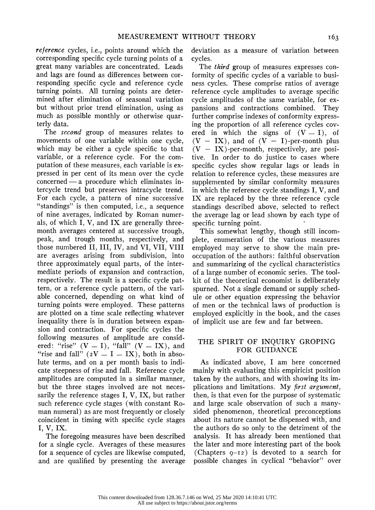reference cycles, i.e., points around which the corresponding specific cycle turning points of a great many variables are concentrated. Leads and lags are found as differences between cor responding specific cycle and reference cycle turning points. All turning points are deter mined after elimination of seasonal variation but without prior trend elimination, using as much as possible monthly or otherwise quar terly data.

The second group of measures relates to movements of one variable within one cycle, which may be either a cycle specific to that variable, or a reference cycle. For the com putation of these measures, each variable is ex pressed in per cent of its mean over the cycle  $concerned$   $- a$  procedure which eliminates in tercycle trend but preserves intracycle trend. For each cycle, a pattern of nine successive "standings" is then computed, i.e., a sequence of nine averages, indicated by Roman numer als, of which I, V, and IX are generally three month averages centered at successive trough, peak, and trough months, respectively, and those numbered II, III, IV, and VI, VII, VIII are averages arising from subdivision, into three approximately equal parts, of the inter mediate periods of expansion and contraction, respectively. The result is a specific cycle pat tern, or a reference cycle pattern, of the vari able concerned, depending on what kind of turning points were employed. These patterns are plotted on a time scale reflecting whatever inequality there is in duration between expan sion and contraction. For specific cycles the following measures of amplitude are consid ered: "rise"  $(V - I)$ , "fall"  $(V - IX)$ , and "rise and fall"  $(2V - I - IX)$ , both in abso lute terms, and on a per month basis to indi cate steepness of rise and fall. Reference cycle amplitudes are computed in a similar manner, but the three stages involved are not neces sarily the reference stages I, V, IX, but rather such reference cycle stages (with constant Ro man numeral) as are most frequently or closely coincident in timing with specific cycle stages I, V, IX.

 The foregoing measures have been described for a single cycle. Averages of these measures for a sequence of cycles are likewise computed, and are qualified by presenting the average  deviation as a measure of variation between cycles.

The *third* group of measures expresses con formity of specific cycles of a variable to busi ness cycles. These comprise ratios of average reference cycle amplitudes to average specific cycle amplitudes of the same variable, for ex pansions and contractions combined. They further comprise indexes of conformity express ing the proportion of all reference cycles cov ered in which the signs of  $(V - I)$ , of  $(V - IX)$ , and of  $(V - I)$ -per-month plus  $(V - IX)$ -per-month, respectively, are posi tive. In order to do justice to cases where specific cycles show regular lags or leads in relation to reference cycles, these measures are supplemented by similar conformity measures in which the reference cycle standings I, V, and IX are replaced by the three reference cycle standings described above, selected to reflect the average lag or lead shown by each type of specific turning point.

 This somewhat lengthy, though still incom plete, enumeration of the various measures employed may serve to show the main pre occupation of the authors: faithful observation and summarizing of the cyclical characteristics of a large number of economic series. The tool kit of the theoretical economist is deliberately spurned. Not a single demand or supply sched ule or other equation expressing the behavior of men or the technical laws of production is employed explicitly in the book, and the cases of implicit use are few and far between.

### THE SPIRIT OF INQUIRY GROPING FOR GUIDANCE

 As indicated above, I am here concerned mainly with evaluating this empiricist position taken by the authors, and with showing its im plications and limitations. My first argument, then, is that even for the purpose of systematic and large scale observation of such a many sided phenomenon, theoretical preconceptions about its nature cannot be dispensed with, and the authors do so only to the detriment of the analysis. It has already been mentioned that the later and more interesting part of the book (Chapters  $9-12$ ) is devoted to a search for possible changes in cyclical "behavior" over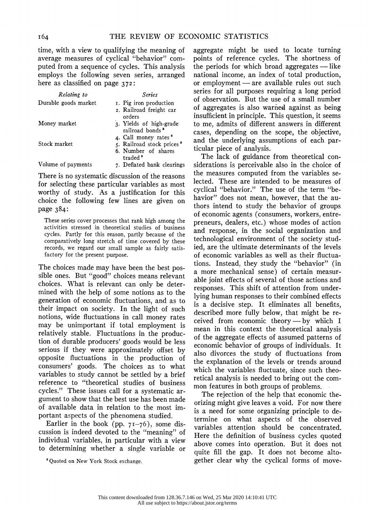time, with a view to qualifying the meaning of average measures of cyclical "behavior" com puted from a sequence of cycles. This analysis employs the following seven series, arranged here as classified on page 372:

| Relating to          | <b>Series</b>                                                                                    |
|----------------------|--------------------------------------------------------------------------------------------------|
| Durable goods market | I. Pig iron production                                                                           |
|                      | 2. Railroad freight car<br>orders                                                                |
| Money market         | 3. Yields of high-grade<br>railroad bonds <sup>8</sup>                                           |
| Stock market         | 4. Call money rates <sup>8</sup><br>5. Railroad stock prices <sup>8</sup><br>6. Number of shares |
| Volume of payments   | traded <sup>8</sup><br>7. Deflated bank clearings                                                |

 There is no systematic discussion of the reasons for selecting these particular variables as most worthy of study. As a justification for this choice the following few lines are given on page 384:

 These series cover processes that rank high among the activities stressed in theoretical studies of business cycles. Partly for this reason, partly because of the comparatively long stretch of time covered by these records, we regard our small sample as fairly satis factory for the present purpose.

 The choices made may have been the best pos sible ones. But "good" choices means relevant choices. What is relevant can only be deter mined with the help of some notions as to the generation of economic fluctuations, and as to their impact on society. In the light of such notions, wide fluctuations in call money rates may be unimportant if total employment is relatively stable. Fluctuations in the produc tion of durable producers' goods would be less serious if they were approximately offset by opposite fluctuations in the production of consumers' goods. The choices as to what variables to study cannot be settled by a brief reference to "theoretical studies of business cycles." These issues call for a systematic ar gument to show that the best use has been made of available data in relation to the most im portant aspects of the phenomena studied.

Earlier in the book (pp.  $71-76$ ), some dis cussion is indeed devoted to the "meaning" of individual variables, in particular with a view to determining whether a single variable or

 aggregate might be used to locate turning points of reference cycles. The shortness of the periods for which broad aggregates  $-$  like national income, an index of total production, or employment - are available rules out such series for all purposes requiring a long period of observation. But the use of a small number of aggregates is also warned against as being insufficient in principle. This question, it seems to me, admits of different answers in different cases, depending on the scope, the objective, and the underlying assumptions of each par ticular piece of analysis.

 The lack of guidance from theoretical con siderations is perceivable also in the choice of the measures computed from the variables se lected. These are intended to be measures of cyclical "behavior." The use of the term "be havior" does not mean, however, that the au thors intend to study the behavior of groups of economic agents (consumers, workers, entre preneurs, dealers, etc.) whose modes of action and response, in the social organization and technological environment of the society stud ied, are the ultimate determinants of the levels of economic variables as well as their fluctua tions. Instead, they study the "behavior" (in a more mechanical sense) of certain measur able joint effects of several of those actions and responses. This shift of attention from under lying human responses to their combined effects is a decisive step. It eliminates all benefits, described more fully below, that might be re ceived from economic theory  $-$  by which I mean in this context the theoretical analysis of the aggregate effects of assumed patterns of economic behavior of groups of individuals. It also divorces the study of fluctuations from the explanation of the levels or trends around which the variables fluctuate, since such theo retical analysis is needed to bring out the com mon features in both groups of problems.

 The rejection of the help that economic the orizing might give leaves a void. For now there is a need for some organizing principle to de termine on what aspects of the observed variables attention should be concentrated. Here the definition of business cycles quoted above comes into operation. But it does not quite fill the gap. It does not become alto quoted on New York Stock exchange. gether clear why the cyclical forms of move-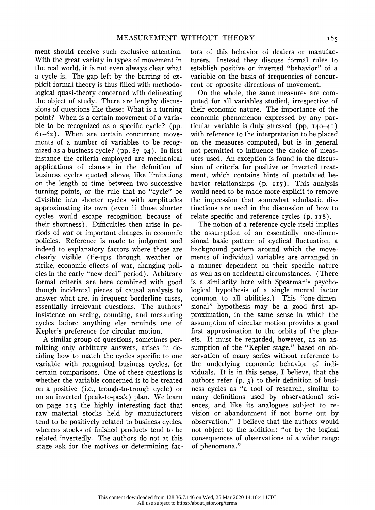ment should receive such exclusive attention. With the great variety in types of movement in the real world, it is not even always clear what a cycle is. The gap left by the barring of ex plicit formal theory is thus filled with methodo logical quasi-theory concerned with delineating the object of study. There are lengthy discus sions of questions like these: What is a turning point? When is a certain movement of a varia ble to be recognized as a specific cycle? (pp. 6i-62). When are certain concurrent move ments of a number of variables to be recog nized as a business cycle? (pp. 87-94). In first instance the criteria employed are mechanical applications of clauses in the definition of business cycles quoted above, like limitations on the length of time between two successive turning points, or the rule that no "cycle" be divisible into shorter cycles with amplitudes approximating its own (even if those shorter cycles would escape recognition because of their shortness). Difficulties then arise in pe riods of war or important changes in economic policies. Reference is made to judgment and indeed to explanatory factors where those are clearly visible (tie-ups through weather or strike, economic effects of war, changing poli cies in the early "new deal" period). Arbitrary formal criteria are here combined with good though incidental pieces of causal analysis to answer what are, in frequent borderline cases, essentially irrelevant questions. The authors' insistence on seeing, counting, and measuring cycles before anything else reminds one of Kepler's preference for circular motion.

 A similar group of questions, sometimes per mitting only arbitrary answers, arises in de ciding how to match the cycles specific to one variable with recognized business cycles, for certain comparisons. One of these questions is whether the variable concerned is to be treated on a positive (i.e., trough-to-trough cycle) or on an inverted (peak-to-peak) plan. We learn on page II5 the highly interesting fact that raw material stocks held by manufacturers tend to be positively related to business cycles, whereas stocks of finished products tend to be related invertedly. The authors do not at this stage ask for the motives or determining fac tors of this behavior of dealers or manufac turers. Instead they discuss formal rules to establish positive or inverted "behavior" of a variable on the basis of frequencies of concur rent or opposite directions of movement.

 On the whole, the same measures are com puted for all variables studied, irrespective of their economic nature. The importance of the economic phenomenon expressed by any par ticular variable is duly stressed (pp. I40-41) with reference to the interpretation to be placed on the measures computed, but is in general not permitted to influence the choice of meas ures used. An exception is found in the discus sion of criteria for positive or inverted treat ment, which contains hints of postulated be havior relationships  $(p. 117)$ . This analysis would need to be made more explicit to remove the impression that somewhat scholastic dis tinctions are used in the discussion of how to relate specific and reference cycles (p. 118).

 The notion of a reference cycle itself implies the assumption of an essentially one-dimen sional basic pattern of cyclical fluctuation, a background pattern around which the move ments of individual variables are arranged in a manner dependent on their specific nature as well as on accidental circumstances. (There is a similarity here with Spearman's psycho logical hypothesis of a single mental factor common to all abilities.) This "one-dimen sional" hypothesis may be a good first ap proximation, in the same sense in which the assumption of circular motion provides a good first approximation to the orbits of the plan ets. It must be regarded, however, as an as sumption of the "Kepler stage," based on ob servation of many series without reference to the underlying economic behavior of indi viduals. It is in this sense, I believe, that the authors refer (p. 3) to their definition of busi ness cycles as "a tool of research, similar to many definitions used by observational sci ences, and like its analogues subject to re vision or abandonment if not borne out by observation." I believe that the authors would not object to the addition: "or by the logical consequences of observations of a wider range of phenomena."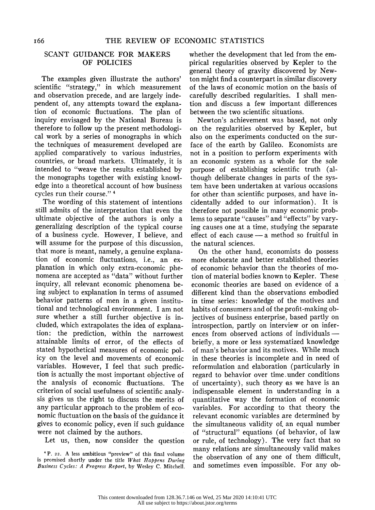#### SCANT GUIDANCE FOR MAKERS OF POLICIES

 The examples given illustrate the authors' scientific "strategy," in which measurement and observation precede, and are largely inde pendent of, any attempts toward the explana tion of economic fluctuations. The plan of inquiry envisaged by the National Bureau is therefore to follow up the present methodologi cal work by a series of monographs in which the techniques of measurement developed are applied comparatively to various industries, countries, or broad markets. Ultimately, it is intended to "weave the results established by the monographs together with existing knowl edge into a theoretical account of how business cycles run their course." 4

 The wording of this statement of intentions still admits of the interpretation that even the ultimate objective of the authors is only a generalizing description of the typical course of a business cycle. However, I believe, and will assume for the purpose of this discussion, that more is meant, namely, a genuine explana tion of economic fluctuations, i.e., an ex planation in which only extra-economic phe nomena are accepted as "data" without further inquiry, all relevant economic phenomena be ing subject to explanation in terms of assumed behavior patterns of men in a given institu tional and technological environment. I am not sure whether a still further objective is in cluded, which extrapolates the idea of explana tion: the prediction, within the narrowest attainable limits of error, of the effects of stated hypothetical measures of economic pol icy on the level and movements of economic variables. However, I feel that such predic tion is actually the most important objective of the analysis of economic fluctuations. The criterion of social usefulness of scientific analy sis gives us the right to discuss the merits of any particular approach to the problem of eco nomic fluctuation on the basis of the guidance it gives to economic policy, even if such guidance were not claimed by the authors.

Let us, then, now consider the question

 whether the development that led from the em pirical regularities observed by Kepler to the general theory of gravity discovered by New ton might find a counterpart in similar discovery of the laws of economic motion on the basis of carefully described regularities. I shall men tion and discuss a few important differences between the two scientific situations.

 Newton's achievement was based, not only on the regularities observed by Kepler, but also on the experiments conducted on the sur face of the earth by Galileo. Economists are not in a position to perform experiments with an economic system as a whole for the sole purpose of establishing scientific truth (al though deliberate changes in parts of the sys tem have been undertaken at various occasions for other than scientific purposes, and have in cidentally added to our information). It is therefore not possible in many economic prob lems to separate "causes" and "effects" by vary ing causes one at a time, studying the separate effect of each cause  $-$  a method so fruitful in the natural sciences.

 On the other hand, economists do possess more elaborate and better established theories of economic behavior than the theories of mo tion of material bodies known to Kepler. These economic theories are based on evidence of a different kind than the observations embodied in time series: knowledge of the motives and habits of consumers and of the profit-making ob jectives of business enterprise, based partly on introspection, partly on interview or on infer ences from observed actions of individuals briefly, a more or less systematized knowledge of man's behavior and its motives. While much in these theories is incomplete and in need of reformulation and elaboration (particularly in regard to behavior over time under conditions of uncertainty), such theory es we have is an indispensable element in understanding in a quantitative way the formation of economic variables. For according to that theory the relevant economic variables are determined by the simultaneous validity of. an equal number of "structural" equations (of behavior, of law or rule, of technology). The very fact that so many relations are simultaneously valid makes the observation of any one of them difficult, and sometimes even impossible. For any ob-

 <sup>&#</sup>x27;P. 22. A less ambitious "preview" of this final volume is promised shortly under the title What Happens During Business Cycles: A Progress Report, by Wesley C. Mitchell.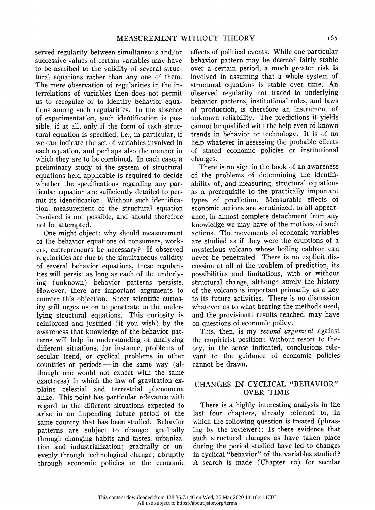served regularity between simultaneous and/or successive values of certain variables may have to be ascribed to the validity of several struc tural equations rather than any one of them. The mere observation of regularities in the in terrelations of variables then does not permit us to recognize or to identify behavior equa tions among such regularities. In the absence of experimentation, such identification is pos sible, if at all, only if the form of each struc tural equation is specified, i.e., in particular, if we can indicate the set of variables involved in each equation, and perhaps also the manner in which they are to be combined. In each case, a preliminary study of the system of structural equations held applicable is required to decide whether the specifications regarding any par ticular equation are sufficiently detailed to per mit its identification. Without such identifica tion, measurement of the structural equation involved is not possible, and should therefore not be attempted.

 One might object: why should measurement of the behavior equations of consumers, work ers, entrepreneurs be necessary? If observed regularities are due to the simultaneous validity of several behavior equations, these regulari ties will persist as long as each of the underly ing (unknown) behavior patterns persists. However, there are important arguments to counter this objection. Sheer scientific curios ity still urges us on to penetrate to the under lying structural equations. This curiosity is reinforced and justified (if you wish) by the awareness that knowledge of the behavior pat terns will help in understanding or analyzing different situations, for instance, problems of secular trend, or cyclical problems in other countries or periods  $-\text{in}$  the same way (al though one would not expect with the same exactness) in which the law of gravitation ex plains celestial and terrestrial phenomena alike. This point has particular relevance with regard to the different situations expected to arise in an impending future period of the same country that has been studied. Behavior patterns are subject to change: gradually through changing habits and tastes, urbaniza tion and industrialization; gradually or un evenly through technological change; abruptly through economic policies or the economic

 effects of political events. While one particular behavior pattern may be deemed fairly stable over a certain period, a much greater risk is involved in assuming that a whole system of structural equations is stable over time. An observed regularity not traced to underlying behavior patterns, institutional rules, and laws of production, is therefore an instrument of unknown reliability. The predictions it yields cannot be qualified with the help even of known trends in behavior or technology. It is of no help whatever in assessing the probable effects of stated economic policies or institutional changes.

 There is no sign in the book of an awareness of the problems of determining the identifi ability of, and measuring, structural equations as a prerequisite to the practically important types of prediction. Measurable effects of economic actions are scrutinized, to all appear ance, in almost complete detachment from any knowledge we may have of the motives of such actions. The movements of economic variables are studied as if they were the eruptions of a mysterious volcano whose boiling caldron can never be penetrated. There is no explicit dis cussion at all of the problem of prediction, its possibilities and limitations, with or without structural change, although surely the history of the volcano is important primarily as a key to its future activities. There is no discussion whatever as to what bearing the methods used, and the provisional results reached, may have on questions of economic policy.

This, then, is my second argument against the empiricist position: Without resort to the ory, in the sense indicated, conclusions rele vant to the guidance of economic policies cannot be drawn.

## CHANGES IN CYCLICAL "BEHAVIOR" OVER TIME

 There is a highly interesting analysis in the last four chapters, already referred to, in which the following question is treated (phras ing by the reviewer): Is there evidence that such structural changes as have taken place during the period studied have led to changes in cyclical "behavior" of the variables studied? A search is made (Chapter Io) for secular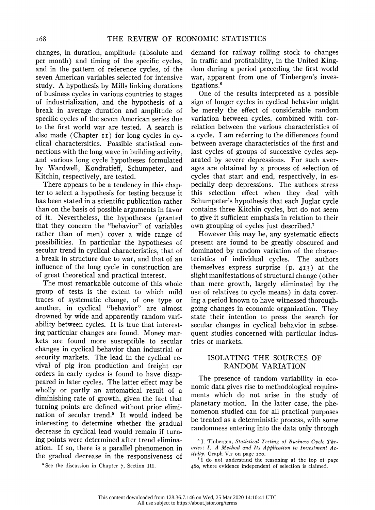changes, in duration, amplitude (absolute and per month) and timing of the specific cycles, and in the pattern of reference cycles, of the seven American variables selected for intensive study. A hypothesis by Mills linking durations of business cycles in various countries to stages of industrialization, and the hypothesis of a break in average duration and amplitude of specific cycles of the seven American series due to the first world war are tested. A search is also made (Chapter  $i$ r) for long cycles in cy clical charactersitics. Possible statistical con nections with the long wave in building activity, and various long cycle hypotheses formulated by Wardwell, Kondratieff, Schumpeter, and Kitchin, respectively, are tested.

 There appears to be a tendency in this chap ter to select a hypothesis for testing because it has been stated in a scientific publication rather than on the basis of possible arguments in favor of it. Nevertheless, the hypotheses (granted that they concern the "behavior" of variables rather than of men) cover a wide range of possibilities. In particular the hypotheses of secular trend in cyclical characteristics, that of a break in structure due to war, and that of an influence of the long cycle in construction are of great theoretical and practical interest.

 The most remarkable outcome of this whole group of tests is the extent to which mild traces of systematic change, of one type or another, in cyclical "behavior" are almost drowned by wide and apparently random vari ability between cycles. It is true that interest ing particular changes are found. Money mar kets are found more susceptible to secular changes in cyclical behavior than industrial or security markets. The lead in the cyclical re vival of pig iron production and freight car orders in early cycles is found to have disap peared in later cycles. The latter effect may be wholly or partly an automatical result of a diminishing rate of growth, given the fact that turning points are defined without prior elimi nation of secular trend.<sup>5</sup> It would indeed be interesting to determine whether the gradual decrease in cyclical lead would remain if turn ing points were determined after trend elimina ation. If so, there is a parallel phenomenon in the gradual decrease in the responsiveness of  demand for railway rolling stock to changes in traffic and profitability, in the United King dom during a period preceding the first world war, apparent from one of Tinbergen's inves tigations.6

 One of the results interpreted as a possible sign of longer cycles in cyclical behavior might be merely the effect of considerable random variation between cycles, combined with cor relation between the various characteristics of a cycle. I am referring to the differences found between average characteristics of the first and last cycles of groups of successive cycles sep arated by severe depressions. For such aver ages are obtained by a process of selection of cycles that start and end, respectively, in es pecially deep depressions. The authors stress this selection effect when they deal with Schumpeter's hypothesis that each Juglar cycle contains three Kitchin cycles, but do not seem to give it sufficient emphasis in relation to their own grouping of cycles just described.7

 However this may be, any systematic effects present are found to be greatly obscured and dominated by random variation of the charac teristics of individual cycles. The authors themselves express surprise (p. 4I3) at the slight manifestations of structural change (other than mere growth, largely eliminated by the use of relatives to cycle means) in data cover ing a period known to have witnessed thorough going changes in economic organization. They state their intention to press the search for secular changes in cyclical behavior in subse quent studies concerned with particular indus tries or markets.

### ISOLATING THE SOURCES OF RANDOM VARIATION

 The presence of random variability in eco nomic data gives rise to methodological require ments which do not arise in the study of planetary motion. In the latter case, the phe nomenon studied can for all practical purposes be treated as a deterministic process, with some randomness entering into the data only through

'See the discussion in Chapter 7, Section III.

<sup>&</sup>lt;sup>6</sup> J. Tinbergen, Statistical Testing of Business Cycle The ories: 1. A Method and Its Application to Investment Ac tivity, Graph V.2 on page 120.

 <sup>&#</sup>x27;I do not understand the reasoning at the top of page 460, where evidence independent of selection is claimed.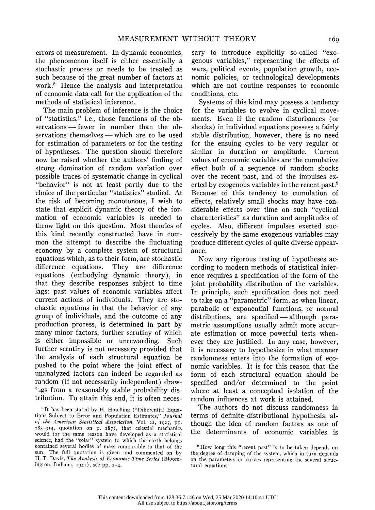errors of measurement. In dynamic economics, the phenomenon itself is either essentially a stochastic process or needs to be treated as such because of the great number of factors at work.8 Hence the analysis and interpretation of economic data call for the application of the methods of statistical inference.

 The main problem of inference is the choice of "statistics," i.e., those functions of the ob  $s$ ervations  $-$  fewer in number than the observations themselves — which are to be used for estimation of parameters or for the testing of hypotheses. The question should therefore now be raised whether the authors' finding of strong domination of random variation over possible traces of systematic change in cyclical "behavior" is not at least partly due to the choice of the particular "statistics" studied. At the risk of becoming monotonous, I wish to state that explicit dynamic theory of the for mation of economic variables is needed to throw light on this question. Most theories of this kind recently constructed have in com mon the attempt to describe the fluctuating economy by a complete system of structural equations which, as to their form, are stochastic difference equations. They are difference equations (embodying dynamic theory), in that they describe responses subject to time lags: past values of economic variables affect current actions of individuals. They are sto chastic equations in that the behavior of any group of individuals, and the outcome of any production process, is determined in part by many minor factors, further scrutiny of which is either impossible or unrewarding. Such further scrutiny is not necessary provided that the analysis of each structural equation be pushed to the point where the joint effect of unanalyzed factors can indeed be regarded as random (if not necessarily independent) draw- $\mathbf{p}$  is from a reasonably stable probability distribution. To attain this end, it is often neces-

 sary to introduce explicitly so-called "exo genous variables," representing the effects of wars, political events, population growth, eco nomic policies, or technological developments which are not routine responses to economic conditions, etc.

 Systems of this kind may possess a tendency for the variables to evolve in cyclical move ments. Even if the random disturbances (or shocks) in individual equations possess a fairly stable distribution, however, there is no need for the ensuing cycles to be very regular or similar in duration or amplitude. Current values of economic variables are the cumulative effect both of a sequence of random shocks over the recent past, and of the impulses ex erted by exogenous variables in the recent past.9 Because of this tendency to cumulation of effects, relatively small shocks may have con siderable effects over time on such "cyclical characteristics" as duration and amplitudes of cycles. Also, different impulses exerted suc cessively by the same exogenous variables may produce different cycles of quite diverse appear ance.

 Now any rigorous testing of hypotheses ac cording to modern methods of statistical infer ence requires a specification of the form of the joint probability distribution of the variables. In principle, such specification does not need to take on a "parametric" form, as when linear, parabolic or exponential functions, or normal  $distributions, are specified—although para$  metric assumptions usually admit more accur ate estimation or more powerful tests when ever they are justified. In any case, however, it is necessary to hypothesize in what manner randomness enters into the formation of eco nomic variables. It is for this reason that the form of each structural equation should be specified and/or determined to the point where at least a conceptual isolation of the random influences at work is attained.

 The authors do not discuss randomness in terms of definite distributional hypothesis, al though the idea of random factors as one of the determinants of economic variables is

<sup>&</sup>lt;sup>8</sup> It has been stated by H. Hotelling ("Differential Equations Subject to Error and Population Estimates," Journal of the American Statistical Association, Vol. 22, I927, pp. 283-3I4, quotation on p. 287), that celestial mechanics would for the same reason have developed as a statistical science, had the "solar" system to which the earth belongs contained several bodies of mass comparable to that of the sun. The full quotation is given and commented on by H. T. Davis, The Analysis of Economic Time Series (Bloom ington, Indiana, 1941), see pp. 2-4.

 <sup>&#</sup>x27;How long this "recent past" is to be taken depends on the degree of damping of the system, which in turn depends on the parameters or curves representing the several struc tural equations.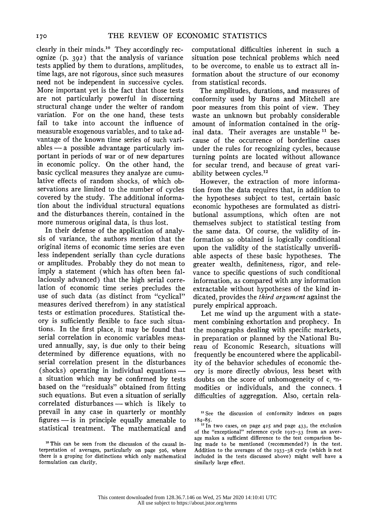clearly in their minds.10 They accordingly rec ognize (p. 392) that the analysis of variance tests applied by them to durations, amplitudes, time lags, are not rigorous, since such measures need not be independent in successive cycles. More important yet is the fact that those tests are not particularly powerful in discerning structural change under the welter of random variation. For on the one hand, these tests fail to take into account the influence of measurable exogenous variables, and to take ad vantage of the known time series of such vari ables  $-$  a possible advantage particularly im portant in periods of war or of new departures in economic policy. On the other hand, the basic cyclical measures they analyze are cumu lative effects of random shocks, of which ob servations are limited to the number of cycles covered by the study. The additional informa tion about the individual structural equations and the disturbances therein, contained in the more numerous original data, is thus lost.

 In their defense of the application of analy sis of variance, the authors mention that the original items of economic time series are even less independent serially than cycle durations or amplitudes. Probably they do not mean to imply a statement (which has often been fal laciously advanced) that the high serial corre lation of economic time series precludes the use of such data (as distinct from "cyclical" measures derived therefrom) in any statistical tests or estimation procedures. Statistical the ory is sufficiently flexible to face such situa tions. In the first place, it may be found that serial correlation in economic variables meas ured annually, say, is due only to their being determined by difference equations, with no serial correlation present in the disturbances  $(shocks)$  operating in individual equations a situation which may be confirmed by tests based on the "residuals" obtained from fitting such equations. But even a situation of serially correlated disturbances - which is likely to prevail in any case in quarterly or monthly figures  $\frac{1}{s}$  is in principle equally amenable to statistical treatment. The mathematical and

 computational difficulties inherent in such a situation pose technical problems which need to be overcome, to enable us to extract all in formation about the structure of our economy from statistical records.

 The amplitudes, durations, and measures of conformity used by Burns and Mitchell are poor measures from this point of view. They waste an unknown but probably considerable amount of information contained in the orig inal data. Their averages are unstable <sup>11</sup> be cause of the occurrence of borderline cases under the rules for recognizing cycles, because turning points are located without allowance for secular trend, and because of great vari ability between cycles.<sup>12</sup>

 However, the extraction of more informa tion from the data requires that, in addition to the hypotheses subject to test, certain basic economic hypotheses are formulated as distri butional assumptions, which often are not themselves subject to statistical testing from the same data. Of course, the validity of in formation so obtained is logically conditional upon the validity of the statistically unverifi able aspects of these basic hypotheses. The greater wealth, definiteness, rigor, and rele vance to specific questions of such conditional information, as compared with any information extractable without hypotheses of the kind in dicated, provides the third argument against the purely empirical approach.

 Let me wind up the argument with a state ment combining exhortation and prophecy. In the monographs dealing with specific markets, in preparation or planned by the National Bu reau of Economic Research, situations will frequently be encountered where the applicabil ity of the behavior schedules of economic the ory is more directly obvious, less beset with doubts on the score of unhomogeneity of  $c_1$  mmodities or individuals, and the connect 1 difficulties of aggregation. Also, certain rela-

<sup>&</sup>lt;sup>10</sup> This can be seen from the discussion of the causal in terpretation of averages, particularly on page 506, where there is a groping for distinctions which only mathematical formulation can clarify.

 $11$  See the discussion of conformity indexes on pages i84-85.

 $12$  In two cases, on page 425 and page 433, the exclusion of the "exceptional" reference cycle I927-33 from an aver age makes a sufficient difference to the test comparison be ing made to be mentioned (recommended?) in the test. Addition to the averages of the I933-38 cycle (which is not included in the tests discussed above) might well have a similarly large effect.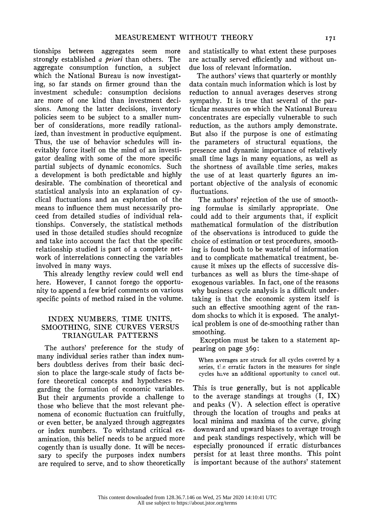tionships between aggregates seem more strongly established a priori than others. The aggregate consumption function, a subject which the National Bureau is now investigat ing, so far stands on firmer ground than the investment schedule: consumption decisions are more of one kind than investment deci sions. Among the latter decisions, inventory policies seem to be subject to a smaller num ber of considerations, more readily rational ized, than investment in productive equipment. Thus, the use of behavior schedules will in evitably force itself on the mind of an investi gator dealing with some of the more specific partial subjects of dynamic economics. Such a development is both predictable and highly desirable. The combination of theoretical and statistical analysis into an explanation of cy clical fluctuations and an exploration of the means to influence them must necessarily pro ceed from detailed studies of individual rela tionships. Conversely, the statistical methods used in those detailed studies should recognize and take into account the fact that the specific relationship studied is part of a complete net work of interrelations connecting the variables involved in many ways.

 This already lengthy review could well end here. However, I cannot forego the opportu nity to append a few brief comments on various specific points of method raised in the volume.

## INDEX NUMBERS, TIME UNITS, SMOOTHING, SINE CURVES VERSUS TRIANGULAR PATTERNS

 The authors' preference for the study of many individual series rather than index num bers doubtless derives from their basic deci sion to place the large-scale study of facts be fore theoretical concepts and hypotheses re garding the formation of economic variables. But their arguments provide a challenge to those who believe that the most relevant phe nomena of economic fluctuation can fruitfully, or even better, be analyzed through aggregates or index numbers. To withstand critical ex amination, this belief needs to be argued more cogently than is usually done. It will be neces sary to specify the purposes index numbers are required to serve, and to show theoretically

 and statistically to what extent these purposes are actually served efficiently and without un due loss of relevant information.

 The authors' views that quarterly or monthly data contain much information which is lost by reduction to annual averages deserves strong sympathy. It is true that several of the par ticular measures on which the National Bureau concentrates are especially vulnerable to such reduction, as the authors amply demonstrate. But also if the purpose is one of estimating the parameters of structural equations, the presence and dynamic importance of relatively small time lags in many equations, as well as the shortness of available time series, makes the use of at least quarterly figures an im portant objective of the analysis of economic fluctuations.

 The authors' rejection of the use of smooth ing formulae is similarly appropriate. One could add to their arguments that, if explicit mathematical formulation of the distribution of the observations is introduced to guide the choice of estimation or test procedures, smooth ing is found both to be wasteful of information and to complicate mathematical treatment, be cause it mixes up the effects of successive dis turbances as well as blurs the time-shape of exogenous variables. In fact, one of the reasons why business cycle analysis is a difficult under taking is that the economic system itself is such an effective smoothing agent of the ran dom shocks to which it is exposed. The analyt ical problem is one of de-smoothing rather than smoothing.

 Exception must be taken to a statement ap pearing on page 369:

 When averages are struck for all cycles covered by a series, the erratic factors in the measures for single cycles have an additional opportunity to cancel out.

 This is true generally, but is not applicable to the average standings at troughs  $(I, IX)$ and peaks  $(V)$ . A selection effect is operative through the location of troughs and peaks at local minima and maxima of the curve, giving downward and upward biases to average trough and peak standings respectively, which will be especially pronounced if erratic disturbances persist for at least three months. This point is important because of the authors' statement